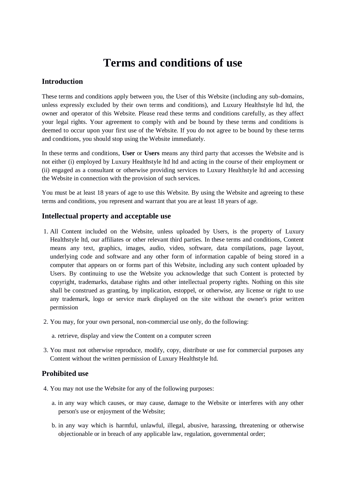# **Terms and conditions of use**

### **Introduction**

These terms and conditions apply between you, the User of this Website (including any sub-domains, unless expressly excluded by their own terms and conditions), and Luxury Healthstyle ltd ltd, the owner and operator of this Website. Please read these terms and conditions carefully, as they affect your legal rights. Your agreement to comply with and be bound by these terms and conditions is deemed to occur upon your first use of the Website. If you do not agree to be bound by these terms and conditions, you should stop using the Website immediately.

In these terms and conditions, **User** or **Users** means any third party that accesses the Website and is not either (i) employed by Luxury Healthstyle ltd ltd and acting in the course of their employment or (ii) engaged as a consultant or otherwise providing services to Luxury Healthstyle ltd and accessing the Website in connection with the provision of such services.

You must be at least 18 years of age to use this Website. By using the Website and agreeing to these terms and conditions, you represent and warrant that you are at least 18 years of age.

#### **Intellectual property and acceptable use**

- 1. All Content included on the Website, unless uploaded by Users, is the property of Luxury Healthstyle ltd, our affiliates or other relevant third parties. In these terms and conditions, Content means any text, graphics, images, audio, video, software, data compilations, page layout, underlying code and software and any other form of information capable of being stored in a computer that appears on or forms part of this Website, including any such content uploaded by Users. By continuing to use the Website you acknowledge that such Content is protected by copyright, trademarks, database rights and other intellectual property rights. Nothing on this site shall be construed as granting, by implication, estoppel, or otherwise, any license or right to use any trademark, logo or service mark displayed on the site without the owner's prior written permission
- 2. You may, for your own personal, non-commercial use only, do the following:
	- a. retrieve, display and view the Content on a computer screen
- 3. You must not otherwise reproduce, modify, copy, distribute or use for commercial purposes any Content without the written permission of Luxury Healthstyle ltd.

#### **Prohibited use**

- 4. You may not use the Website for any of the following purposes:
	- a. in any way which causes, or may cause, damage to the Website or interferes with any other person's use or enjoyment of the Website;
	- b. in any way which is harmful, unlawful, illegal, abusive, harassing, threatening or otherwise objectionable or in breach of any applicable law, regulation, governmental order;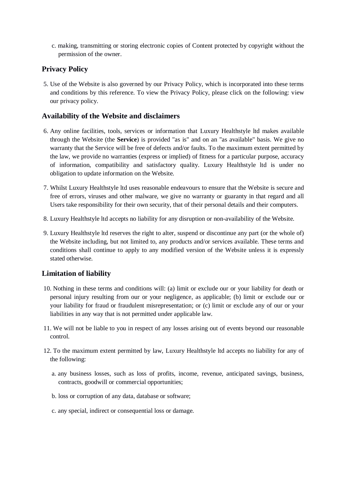c. making, transmitting or storing electronic copies of Content protected by copyright without the permission of the owner.

# **Privacy Policy**

5. Use of the Website is also governed by our Privacy Policy, which is incorporated into these terms and conditions by this reference. To view the Privacy Policy, please click on the following: view our privacy policy.

## **Availability of the Website and disclaimers**

- 6. Any online facilities, tools, services or information that Luxury Healthstyle ltd makes available through the Website (the **Service**) is provided "as is" and on an "as available" basis. We give no warranty that the Service will be free of defects and/or faults. To the maximum extent permitted by the law, we provide no warranties (express or implied) of fitness for a particular purpose, accuracy of information, compatibility and satisfactory quality. Luxury Healthstyle ltd is under no obligation to update information on the Website.
- 7. Whilst Luxury Healthstyle ltd uses reasonable endeavours to ensure that the Website is secure and free of errors, viruses and other malware, we give no warranty or guaranty in that regard and all Users take responsibility for their own security, that of their personal details and their computers.
- 8. Luxury Healthstyle ltd accepts no liability for any disruption or non-availability of the Website.
- 9. Luxury Healthstyle ltd reserves the right to alter, suspend or discontinue any part (or the whole of) the Website including, but not limited to, any products and/or services available. These terms and conditions shall continue to apply to any modified version of the Website unless it is expressly stated otherwise.

## **Limitation of liability**

- 10. Nothing in these terms and conditions will: (a) limit or exclude our or your liability for death or personal injury resulting from our or your negligence, as applicable; (b) limit or exclude our or your liability for fraud or fraudulent misrepresentation; or (c) limit or exclude any of our or your liabilities in any way that is not permitted under applicable law.
- 11. We will not be liable to you in respect of any losses arising out of events beyond our reasonable control.
- 12. To the maximum extent permitted by law, Luxury Healthstyle ltd accepts no liability for any of the following:
	- a. any business losses, such as loss of profits, income, revenue, anticipated savings, business, contracts, goodwill or commercial opportunities;
	- b. loss or corruption of any data, database or software;
	- c. any special, indirect or consequential loss or damage.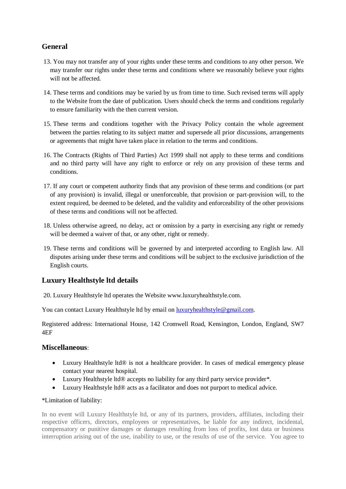# **General**

- 13. You may not transfer any of your rights under these terms and conditions to any other person. We may transfer our rights under these terms and conditions where we reasonably believe your rights will not be affected.
- 14. These terms and conditions may be varied by us from time to time. Such revised terms will apply to the Website from the date of publication. Users should check the terms and conditions regularly to ensure familiarity with the then current version.
- 15. These terms and conditions together with the Privacy Policy contain the whole agreement between the parties relating to its subject matter and supersede all prior discussions, arrangements or agreements that might have taken place in relation to the terms and conditions.
- 16. The Contracts (Rights of Third Parties) Act 1999 shall not apply to these terms and conditions and no third party will have any right to enforce or rely on any provision of these terms and conditions.
- 17. If any court or competent authority finds that any provision of these terms and conditions (or part of any provision) is invalid, illegal or unenforceable, that provision or part-provision will, to the extent required, be deemed to be deleted, and the validity and enforceability of the other provisions of these terms and conditions will not be affected.
- 18. Unless otherwise agreed, no delay, act or omission by a party in exercising any right or remedy will be deemed a waiver of that, or any other, right or remedy.
- 19. These terms and conditions will be governed by and interpreted according to English law. All disputes arising under these terms and conditions will be subject to the exclusive jurisdiction of the English courts.

# **Luxury Healthstyle ltd details**

20. Luxury Healthstyle ltd operates the Website www.luxuryhealthstyle.com.

You can contact Luxury Healthstyle ltd by email on [luxuryhealthstyle@gmail.com.](mailto:luxuryhealthstyle@gmail.com)

Registered address: International House, 142 Cromwell Road, Kensington, London, England, SW7 4EF

#### **Miscellaneous**:

- Luxury Healthstyle ltd® is not a healthcare provider. In cases of medical emergency please contact your nearest hospital.
- Luxury Healthstyle ltd<sup>®</sup> accepts no liability for any third party service provider\*.
- Luxury Healthstyle ltd® acts as a facilitator and does not purport to medical advice.

#### \*Limitation of liability:

In no event will Luxury Healthstyle ltd, or any of its partners, providers, affiliates, including their respective officers, directors, employees or representatives, be liable for any indirect, incidental, compensatory or punitive damages or damages resulting from loss of profits, lost data or business interruption arising out of the use, inability to use, or the results of use of the service. You agree to